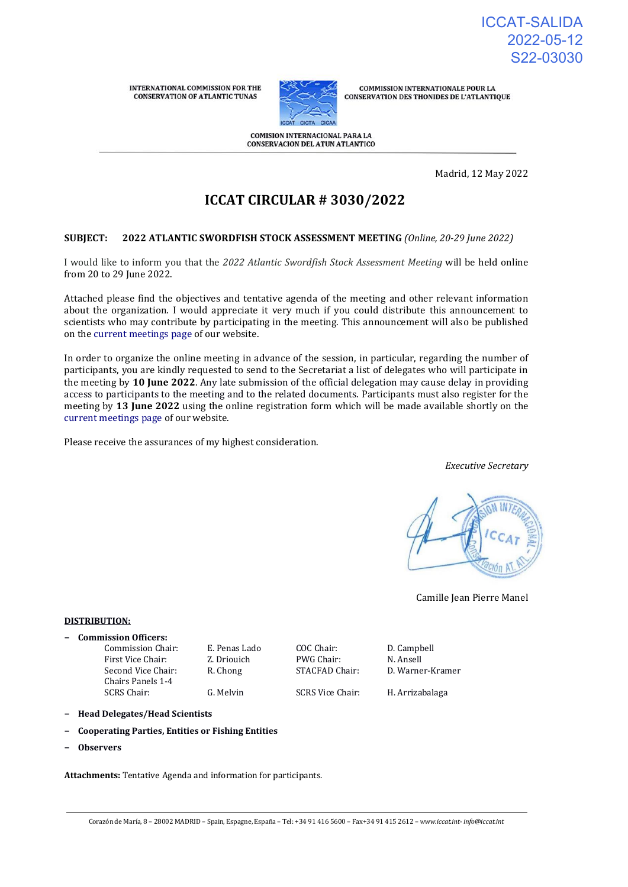**INTERNATIONAL COMMISSION FOR THE CONSERVATION OF ATLANTIC TUNAS** 



**COMMISSION INTERNATIONALE POUR LA CONSERVATION DES THONIDES DE L'ATLANTIQUE** 

**COMISION INTERNACIONAL PARA LA CONSERVACION DEL ATUN ATLANTICO** 

Madrid, 12 May 2022

# **ICCAT CIRCULAR # 3030/2022**

#### **SUBJECT: 2022 ATLANTIC SWORDFISH STOCK ASSESSMENT MEETING** *(Online, 20-29 June 2022)*

I would like to inform you that the *2022 Atlantic Swordfish Stock Assessment Meeting* will be held online from 20 to 29 June 2022.

Attached please find the objectives and tentative agenda of the meeting and other relevant information about the organization. I would appreciate it very much if you could distribute this announcement to scientists who may contribute by participating in the meeting. This announcement will also be published on the [current meetings page o](https://www.iccat.int/en/Meetings.html)f our website.

In order to organize the online meeting in advance of the session, in particular, regarding the number of participants, you are kindly requested to send to the Secretariat a list of delegates who will participate in the meeting by **10 June 2022**. Any late submission of the official delegation may cause delay in providing access to participants to the meeting and to the related documents. Participants must also register for the meeting by **13 June 2022** using the online registration form which will be made available shortly on the [current meetings page o](https://www.iccat.int/en/Meetings.html)f our website.

Please receive the assurances of my highest consideration.

*Executive Secretary*



Camille Jean Pierre Manel

#### **DISTRIBUTION:**

**− Commission Officers:**

Commission Chair: E. Penas Lado COC Chair: D. Campbell<br>
First Vice Chair: Z. Driouich PWG Chair: N. Ansell First Vice Chair: **Z. Driouich** PWG Chair: **N. Ansell** Second Vice Chair: Chairs Panels 1-4<br>SCRS Chair:

R. Chong STACFAD Chair: D. Warner-Kramer

SCRS Chair: G. Melvin SCRS Vice Chair: H. Arrizabalaga

**− Head Delegates/Head Scientists**

- **− Cooperating Parties, Entities or Fishing Entities**
- **− Observers**

**Attachments:** Tentative Agenda and information for participants.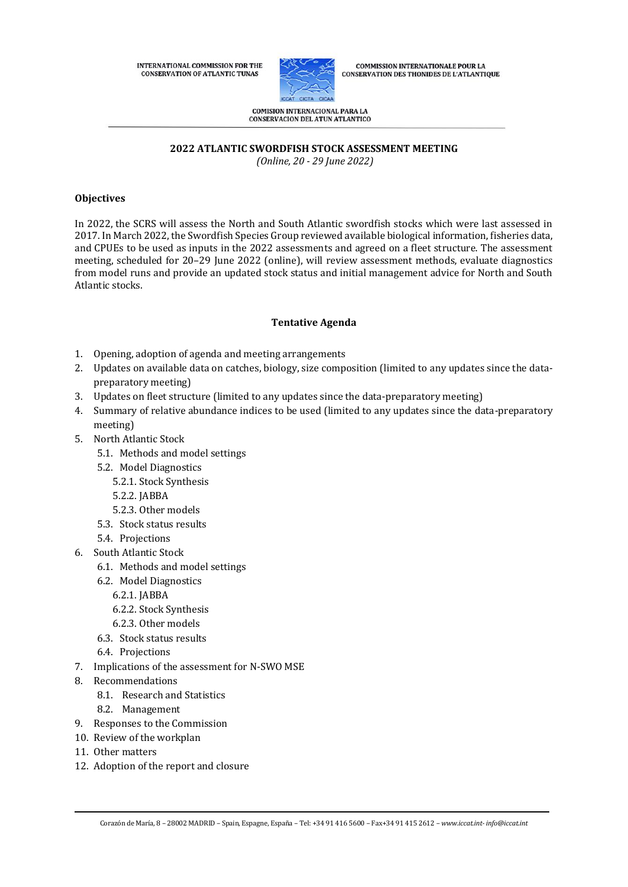INTERNATIONAL COMMISSION FOR THE **CONSERVATION OF ATLANTIC TUNAS** 



**COMMISSION INTERNATIONALE POUR LA CONSERVATION DES THONIDES DE L'ATLANTIQUE** 

**COMISION INTERNACIONAL PARA LA CONSERVACION DEL ATUN ATLANTICO** 

**2022 ATLANTIC SWORDFISH STOCK ASSESSMENT MEETING**

*(Online, 20 - 29 June 2022)*

# **Objectives**

In 2022, the SCRS will assess the North and South Atlantic swordfish stocks which were last assessed in 2017. In March 2022, the Swordfish Species Group reviewed available biological information, fisheries data, and CPUEs to be used as inputs in the 2022 assessments and agreed on a fleet structure. The assessment meeting, scheduled for 20–29 June 2022 (online), will review assessment methods, evaluate diagnostics from model runs and provide an updated stock status and initial management advice for North and South Atlantic stocks.

# **Tentative Agenda**

- 1. Opening, adoption of agenda and meeting arrangements
- 2. Updates on available data on catches, biology, size composition (limited to any updates since the datapreparatory meeting)
- 3. Updates on fleet structure (limited to any updates since the data-preparatory meeting)
- 4. Summary of relative abundance indices to be used (limited to any updates since the data-preparatory meeting)
- 5. North Atlantic Stock
	- 5.1. Methods and model settings
	- 5.2. Model Diagnostics
		- 5.2.1. Stock Synthesis
		- 5.2.2. JABBA
		- 5.2.3. Other models
	- 5.3. Stock status results
	- 5.4. Projections
- 6. South Atlantic Stock
	- 6.1. Methods and model settings
	- 6.2. Model Diagnostics
		- 6.2.1. JABBA
		- 6.2.2. Stock Synthesis
		- 6.2.3. Other models
	- 6.3. Stock status results
	- 6.4. Projections
- 7. Implications of the assessment for N-SWO MSE
- 8. Recommendations
	- 8.1. Research and Statistics
	- 8.2. Management
- 9. Responses to the Commission
- 10. Review of the workplan
- 11. Other matters
- 12. Adoption of the report and closure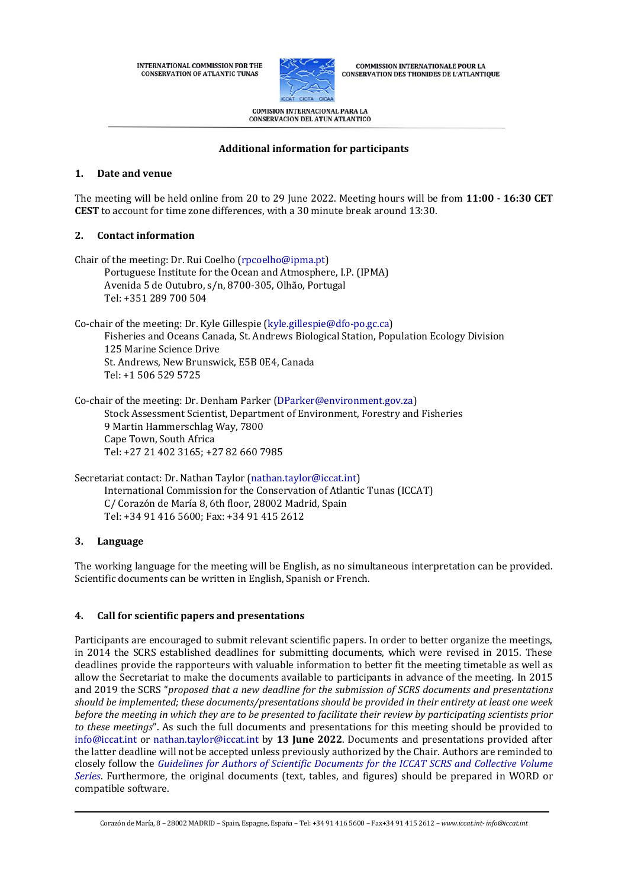INTERNATIONAL COMMISSION FOR THE **CONSERVATION OF ATLANTIC TUNAS** 



**COMMISSION INTERNATIONALE POUR LA CONSERVATION DES THONIDES DE L'ATLANTIQUE** 

**COMISION INTERNACIONAL PARA LA CONSERVACION DEL ATUN ATLANTICO** 

# **Additional information for participants**

#### **1. Date and venue**

The meeting will be held online from 20 to 29 June 2022. Meeting hours will be from **11:00 - 16:30 CET CEST** to account for time zone differences, with a 30 minute break around 13:30.

#### **2. Contact information**

| Chair of the meeting: Dr. Rui Coelho (rpcoelho@ipma.pt)                                  |
|------------------------------------------------------------------------------------------|
| Portuguese Institute for the Ocean and Atmosphere, I.P. (IPMA)                           |
| Avenida 5 de Outubro, s/n, 8700-305, Olhão, Portugal                                     |
| Tel: +351 289 700 504                                                                    |
| Co-chair of the meeting: Dr. Kyle Gillespie (kyle.gillespie@dfo-po.gc.ca)                |
| Fisheries and Oceans Canada, St. Andrews Biological Station, Population Ecology Division |
| 125 Marine Science Drive                                                                 |
| St. Andrews, New Brunswick, E5B 0E4, Canada                                              |
| Tel: +1 506 529 5725                                                                     |
| Co-chair of the meeting: Dr. Denham Parker (DParker@environment.gov.za)                  |
| Stock Assessment Scientist, Department of Environment, Forestry and Fisheries            |
| 9 Martin Hammerschlag Way, 7800                                                          |
| Cape Town, South Africa                                                                  |
| Tel: +27 21 402 3165: +27 82 660 7985                                                    |

Secretariat contact: Dr. Nathan Taylor [\(nathan.taylor@iccat.int\)](mailto:nathan.taylor@iccat.int) International Commission for the Conservation of Atlantic Tunas (ICCAT) C/ Corazón de María 8, 6th floor, 28002 Madrid, Spain Tel: +34 91 416 5600; Fax: +34 91 415 2612

# **3. Language**

The working language for the meeting will be English, as no simultaneous interpretation can be provided. Scientific documents can be written in English, Spanish or French.

# **4. Call for scientific papers and presentations**

Participants are encouraged to submit relevant scientific papers. In order to better organize the meetings, in 2014 the SCRS established deadlines for submitting documents, which were revised in 2015. These deadlines provide the rapporteurs with valuable information to better fit the meeting timetable as well as allow the Secretariat to make the documents available to participants in advance of the meeting. In 2015 and 2019 the SCRS "*proposed that a new deadline for the submission of SCRS documents and presentations should be implemented; these documents/presentations should be provided in their entirety at least one week before the meeting in which they are to be presented to facilitate their review by participating scientists prior to these meetings*". As such the full documents and presentations for this meeting should be provided to [info@iccat.int](mailto:info@iccat.int) or [nathan.taylor@iccat.int](mailto:nathan.taylor@iccat.int) by **13 June 2022**. Documents and presentations provided after the latter deadline will not be accepted unless previously authorized by the Chair. Authors are reminded to closely follow the *[Guidelines for Authors of Scientific Documents for the ICCAT SCRS and Collective Volume](https://www.iccat.int/Documents/SCRS/Other/Guide_ColVol_ENG.pdf)  [Series](https://www.iccat.int/Documents/SCRS/Other/Guide_ColVol_ENG.pdf)*. Furthermore, the original documents (text, tables, and figures) should be prepared in WORD or compatible software.